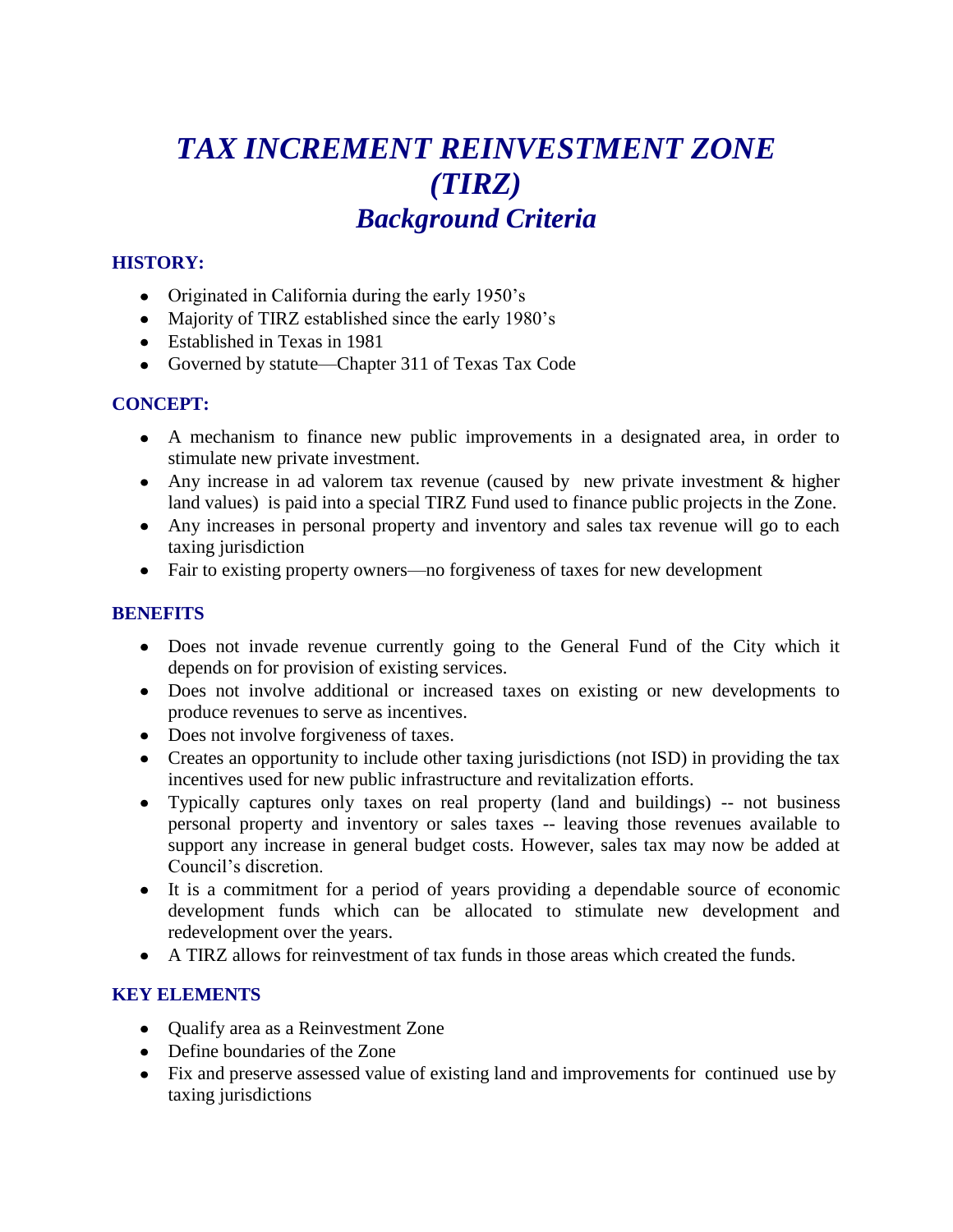## *TAX INCREMENT REINVESTMENT ZONE (TIRZ) Background Criteria*

#### **HISTORY:**

- Originated in California during the early 1950's
- Majority of TIRZ established since the early 1980's
- Established in Texas in 1981
- Governed by statute—Chapter 311 of Texas Tax Code

#### **CONCEPT:**

- A mechanism to finance new public improvements in a designated area, in order to stimulate new private investment.
- Any increase in ad valorem tax revenue (caused by new private investment & higher land values) is paid into a special TIRZ Fund used to finance public projects in the Zone.
- Any increases in personal property and inventory and sales tax revenue will go to each taxing jurisdiction
- Fair to existing property owners—no forgiveness of taxes for new development

#### **BENEFITS**

- Does not invade revenue currently going to the General Fund of the City which it depends on for provision of existing services.
- Does not involve additional or increased taxes on existing or new developments to produce revenues to serve as incentives.
- Does not involve forgiveness of taxes.
- Creates an opportunity to include other taxing jurisdictions (not ISD) in providing the tax incentives used for new public infrastructure and revitalization efforts.
- Typically captures only taxes on real property (land and buildings) -- not business personal property and inventory or sales taxes -- leaving those revenues available to support any increase in general budget costs. However, sales tax may now be added at Council's discretion.
- It is a commitment for a period of years providing a dependable source of economic development funds which can be allocated to stimulate new development and redevelopment over the years.
- A TIRZ allows for reinvestment of tax funds in those areas which created the funds.

#### **KEY ELEMENTS**

- Oualify area as a Reinvestment Zone
- Define boundaries of the Zone
- Fix and preserve assessed value of existing land and improvements for continued use by taxing jurisdictions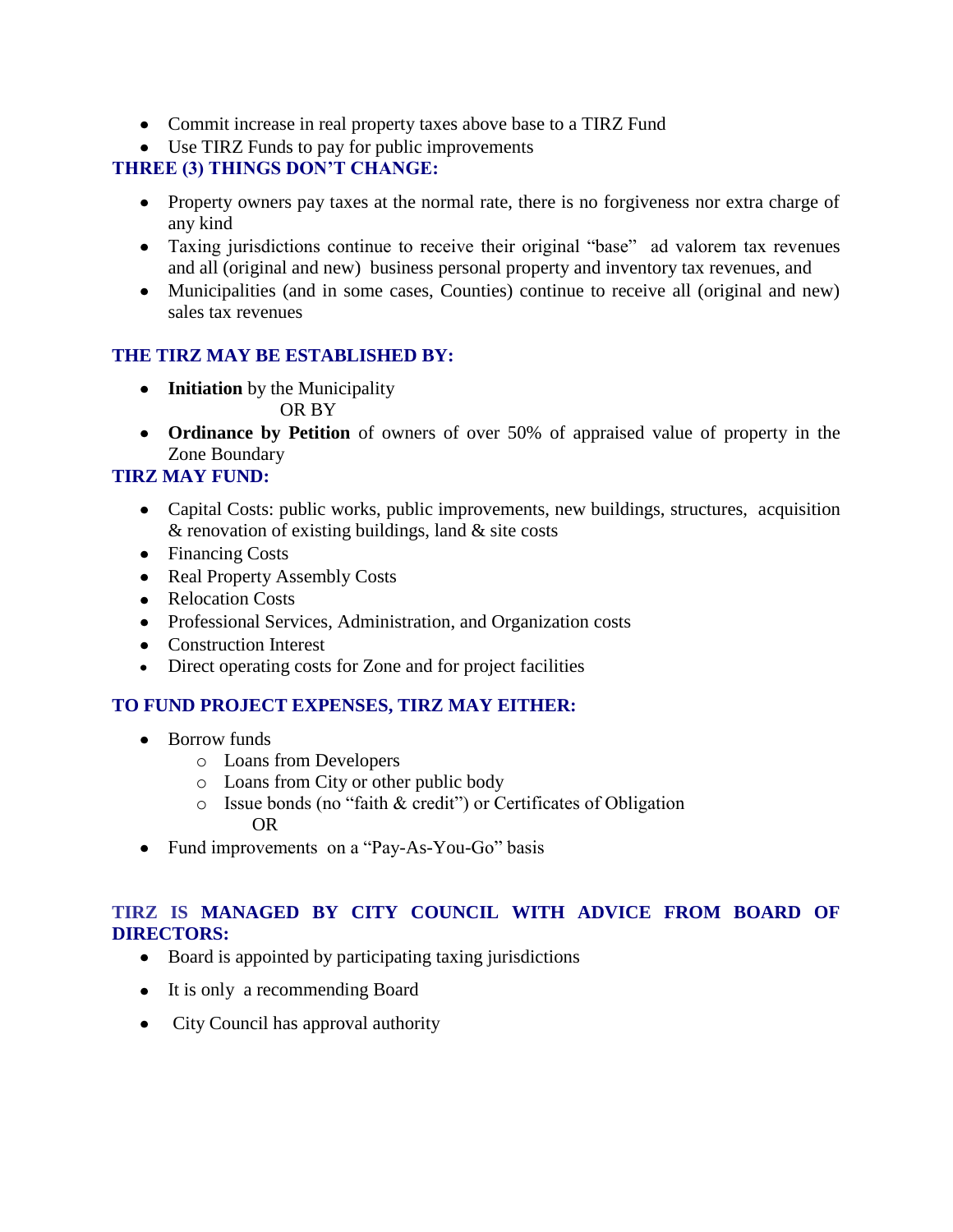- Commit increase in real property taxes above base to a TIRZ Fund
- Use TIRZ Funds to pay for public improvements

#### **THREE (3) THINGS DON'T CHANGE:**

- Property owners pay taxes at the normal rate, there is no forgiveness nor extra charge of any kind
- Taxing jurisdictions continue to receive their original "base" ad valorem tax revenues and all (original and new) business personal property and inventory tax revenues, and
- Municipalities (and in some cases, Counties) continue to receive all (original and new) sales tax revenues

#### **THE TIRZ MAY BE ESTABLISHED BY:**

- **Initiation** by the Municipality OR BY
- **Ordinance by Petition** of owners of over 50% of appraised value of property in the Zone Boundary

#### **TIRZ MAY FUND:**

- Capital Costs: public works, public improvements, new buildings, structures, acquisition & renovation of existing buildings, land & site costs
- Financing Costs
- Real Property Assembly Costs
- Relocation Costs
- Professional Services, Administration, and Organization costs
- Construction Interest
- Direct operating costs for Zone and for project facilities

#### **TO FUND PROJECT EXPENSES, TIRZ MAY EITHER:**

- Borrow funds
	- o Loans from Developers
	- o Loans from City or other public body
	- $\circ$  Issue bonds (no "faith & credit") or Certificates of Obligation OR
- Fund improvements on a "Pay-As-You-Go" basis

#### **TIRZ IS MANAGED BY CITY COUNCIL WITH ADVICE FROM BOARD OF DIRECTORS:**

- Board is appointed by participating taxing jurisdictions
- It is only a recommending Board
- City Council has approval authority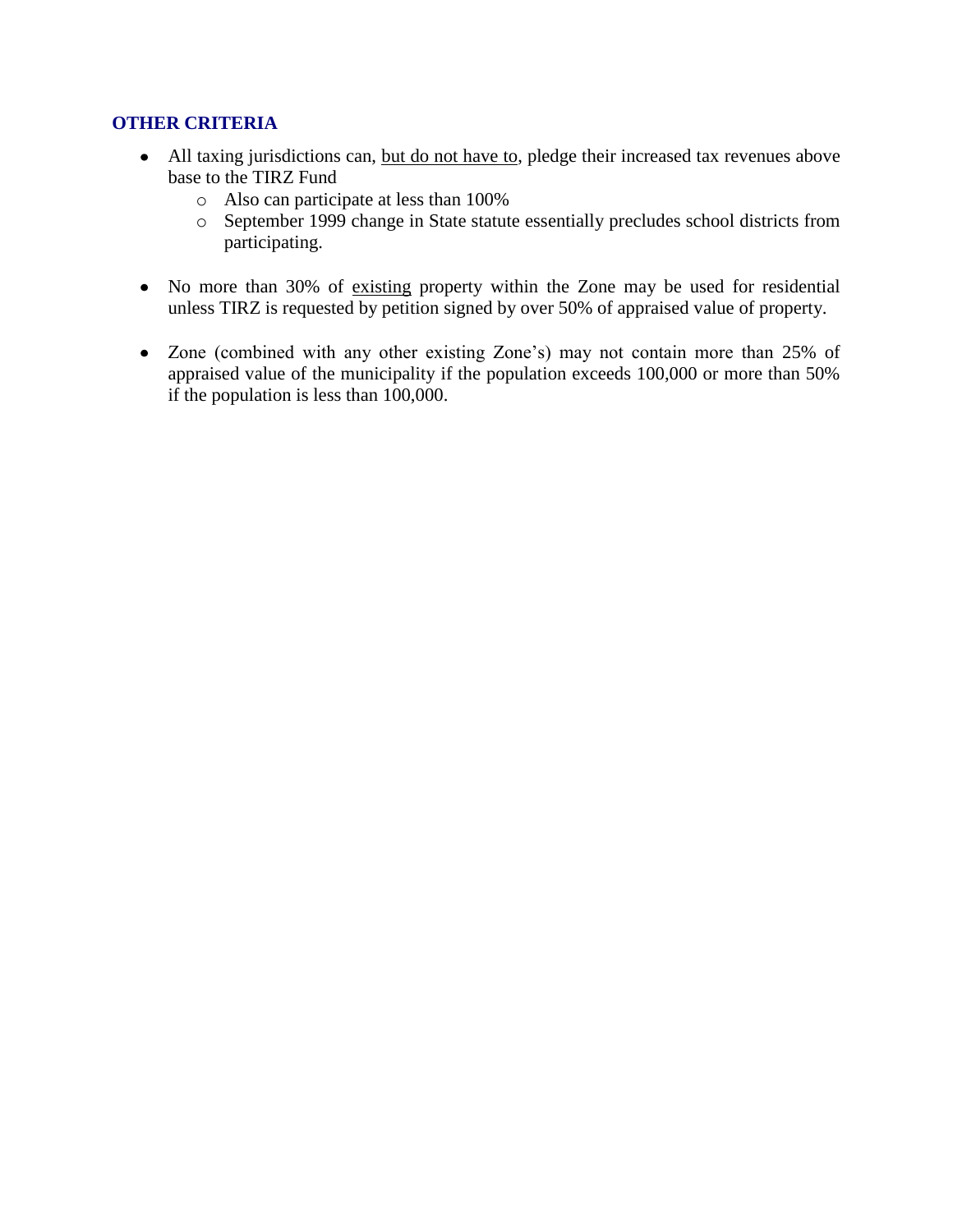#### **OTHER CRITERIA**

- All taxing jurisdictions can, but do not have to, pledge their increased tax revenues above base to the TIRZ Fund
	- o Also can participate at less than 100%
	- o September 1999 change in State statute essentially precludes school districts from participating.
- No more than 30% of existing property within the Zone may be used for residential unless TIRZ is requested by petition signed by over 50% of appraised value of property.
- Zone (combined with any other existing Zone's) may not contain more than 25% of appraised value of the municipality if the population exceeds 100,000 or more than 50% if the population is less than 100,000.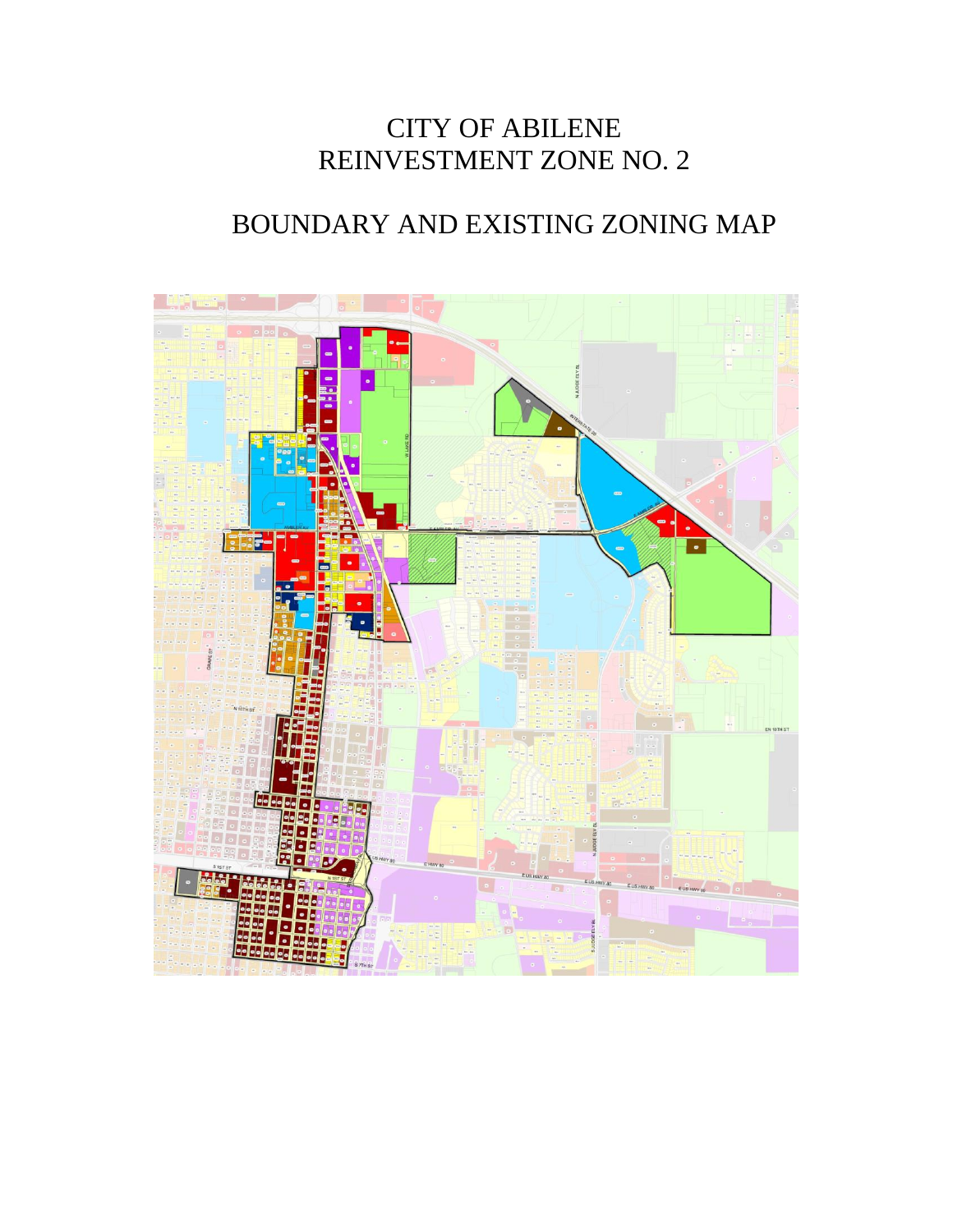### CITY OF ABILENE REINVESTMENT ZONE NO. 2

### BOUNDARY AND EXISTING ZONING MAP

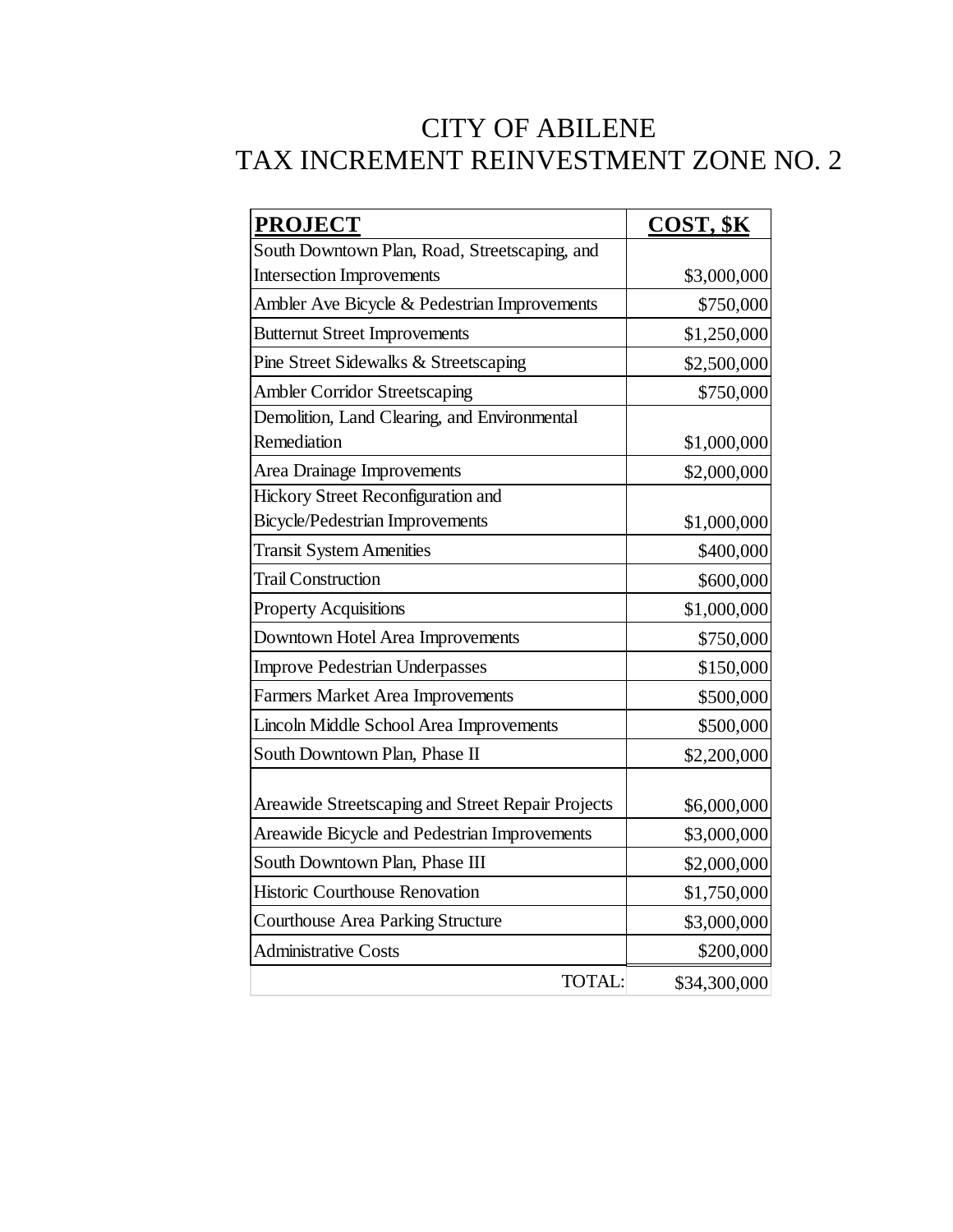### CITY OF ABILENE TAX INCREMENT REINVESTMENT ZONE NO. 2

| <b>PROJECT</b>                                    | COST, \$K    |
|---------------------------------------------------|--------------|
| South Downtown Plan, Road, Streetscaping, and     |              |
| <b>Intersection Improvements</b>                  | \$3,000,000  |
| Ambler Ave Bicycle & Pedestrian Improvements      | \$750,000    |
| <b>Butternut Street Improvements</b>              | \$1,250,000  |
| Pine Street Sidewalks & Streetscaping             | \$2,500,000  |
| <b>Ambler Corridor Streetscaping</b>              | \$750,000    |
| Demolition, Land Clearing, and Environmental      |              |
| Remediation                                       | \$1,000,000  |
| Area Drainage Improvements                        | \$2,000,000  |
| Hickory Street Reconfiguration and                |              |
| <b>Bicycle/Pedestrian Improvements</b>            | \$1,000,000  |
| <b>Transit System Amenities</b>                   | \$400,000    |
| <b>Trail Construction</b>                         | \$600,000    |
| <b>Property Acquisitions</b>                      | \$1,000,000  |
| Downtown Hotel Area Improvements                  | \$750,000    |
| <b>Improve Pedestrian Underpasses</b>             | \$150,000    |
| <b>Farmers Market Area Improvements</b>           | \$500,000    |
| Lincoln Middle School Area Improvements           | \$500,000    |
| South Downtown Plan, Phase II                     | \$2,200,000  |
| Areawide Streetscaping and Street Repair Projects | \$6,000,000  |
| Areawide Bicycle and Pedestrian Improvements      | \$3,000,000  |
| South Downtown Plan, Phase III                    | \$2,000,000  |
| <b>Historic Courthouse Renovation</b>             | \$1,750,000  |
| <b>Courthouse Area Parking Structure</b>          | \$3,000,000  |
| <b>Administrative Costs</b>                       | \$200,000    |
| TOTAL:                                            | \$34,300,000 |